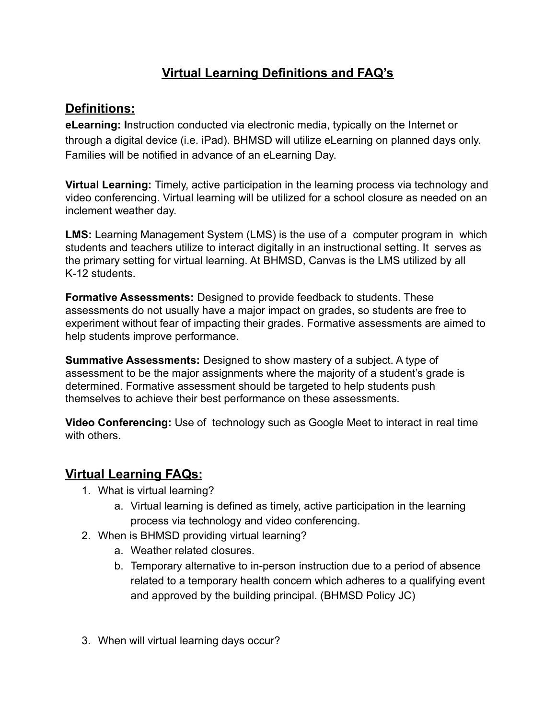## **Virtual Learning Definitions and FAQ's**

## **Definitions:**

**eLearning: I**nstruction conducted via electronic media, typically on the Internet or through a digital device (i.e. iPad). BHMSD will utilize eLearning on planned days only. Families will be notified in advance of an eLearning Day.

**Virtual Learning:** Timely, active participation in the learning process via technology and video conferencing. Virtual learning will be utilized for a school closure as needed on an inclement weather day.

**LMS:** Learning Management System (LMS) is the use of a computer program in which students and teachers utilize to interact digitally in an instructional setting. It serves as the primary setting for virtual learning. At BHMSD, Canvas is the LMS utilized by all K-12 students.

**Formative Assessments:** Designed to provide feedback to students. These assessments do not usually have a major impact on grades, so students are free to experiment without fear of impacting their grades. Formative assessments are aimed to help students improve performance.

**Summative Assessments:** Designed to show mastery of a subject. A type of assessment to be the major assignments where the majority of a student's grade is determined. Formative assessment should be targeted to help students push themselves to achieve their best performance on these assessments.

**Video Conferencing:** Use of technology such as Google Meet to interact in real time with others.

## **Virtual Learning FAQs:**

- 1. What is virtual learning?
	- a. Virtual learning is defined as timely, active participation in the learning process via technology and video conferencing.
- 2. When is BHMSD providing virtual learning?
	- a. Weather related closures.
	- b. Temporary alternative to in-person instruction due to a period of absence related to a temporary health concern which adheres to a qualifying event and approved by the building principal. (BHMSD Policy JC)
- 3. When will virtual learning days occur?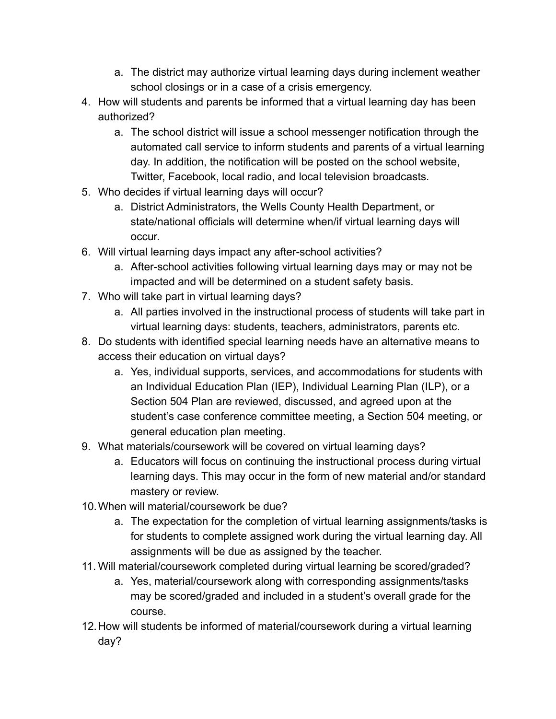- a. The district may authorize virtual learning days during inclement weather school closings or in a case of a crisis emergency.
- 4. How will students and parents be informed that a virtual learning day has been authorized?
	- a. The school district will issue a school messenger notification through the automated call service to inform students and parents of a virtual learning day. In addition, the notification will be posted on the school website, Twitter, Facebook, local radio, and local television broadcasts.
- 5. Who decides if virtual learning days will occur?
	- a. District Administrators, the Wells County Health Department, or state/national officials will determine when/if virtual learning days will occur.
- 6. Will virtual learning days impact any after-school activities?
	- a. After-school activities following virtual learning days may or may not be impacted and will be determined on a student safety basis.
- 7. Who will take part in virtual learning days?
	- a. All parties involved in the instructional process of students will take part in virtual learning days: students, teachers, administrators, parents etc.
- 8. Do students with identified special learning needs have an alternative means to access their education on virtual days?
	- a. Yes, individual supports, services, and accommodations for students with an Individual Education Plan (IEP), Individual Learning Plan (ILP), or a Section 504 Plan are reviewed, discussed, and agreed upon at the student's case conference committee meeting, a Section 504 meeting, or general education plan meeting.
- 9. What materials/coursework will be covered on virtual learning days?
	- a. Educators will focus on continuing the instructional process during virtual learning days. This may occur in the form of new material and/or standard mastery or review.
- 10.When will material/coursework be due?
	- a. The expectation for the completion of virtual learning assignments/tasks is for students to complete assigned work during the virtual learning day. All assignments will be due as assigned by the teacher.
- 11. Will material/coursework completed during virtual learning be scored/graded?
	- a. Yes, material/coursework along with corresponding assignments/tasks may be scored/graded and included in a student's overall grade for the course.
- 12.How will students be informed of material/coursework during a virtual learning day?